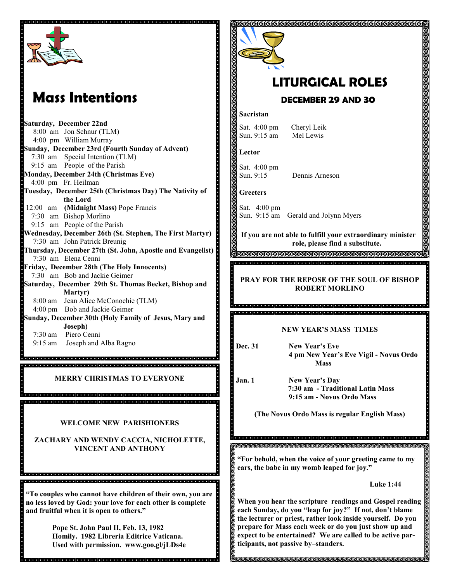

# **Mass Intentions**

**Saturday, December 22nd** 8:00 am Jon Schnur (TLM) 4:00 pm William Murray **Sunday, December 23rd (Fourth Sunday of Advent)** 7:30 am Special Intention (TLM) 9:15 am People of the Parish **Monday, December 24th (Christmas Eve)** 4:00 pm Fr. Heilman **Tuesday, December 25th (Christmas Day) The Nativity of the Lord** 12:00 am **(Midnight Mass)** Pope Francis 7:30 am Bishop Morlino 9:15 am People of the Parish **Wednesday, December 26th (St. Stephen, The First Martyr)** 7:30 am John Patrick Breunig **Thursday, December 27th (St. John, Apostle and Evangelist)** 7:30 am Elena Cenni **Friday, December 28th (The Holy Innocents)** 7:30 am Bob and Jackie Geimer **Saturday, December 29th St. Thomas Becket, Bishop and Martyr)**  8:00 am Jean Alice McConochie (TLM) 4:00 pm Bob and Jackie Geimer **Sunday, December 30th (Holy Family of Jesus, Mary and Joseph)** 7:30 am Piero Cenni 9:15 am Joseph and Alba Ragno

**MERRY CHRISTMAS TO EVERYONE**

dia la latia la tatafatatatata la latiafata a la tatafatata la latiafatatata la latiafatatatatatatatatatatatatatatata 

**WELCOME NEW PARISHIONERS**

**ZACHARY AND WENDY CACCIA, NICHOLETTE, VINCENT AND ANTHONY**

**"To couples who cannot have children of their own, you are no less loved by God: your love for each other is complete and fruitful when it is open to others."**

> **Pope St. John Paul II, Feb. 13, 1982 Homily. 1982 Libreria Editrice Vaticana. Used with permission. www.goo.gl/jLDs4e**



# **LITURGICAL ROLES**

# **DECEMBER 29 AND 30**

#### **Sacristan**

Sat. 4:00 pm Cheryl Leik Sun. 9:15 am Mel Lewis

**Lector**

Sat. 4:00 pm Sun. 9:15 Dennis Arneson

**Greeters**

Sat. 4:00 pm Sun. 9:15 am Gerald and Jolynn Myers

**If you are not able to fulfill your extraordinary minister role, please find a substitute.** 

**INNNNNNNNNNNNNNNNNNNNNNN** <u> producto de la completa de la completa de la completa de la completa de la completa de la completa de la completa de la completa de la completa de la completa de la completa de la completa de la completa de la completa d</u>

**PRAY FOR THE REPOSE OF THE SOUL OF BISHOP ROBERT MORLINO**

#### **NEW YEAR'S MASS TIMES**

**Dec. 31 New Year's Eve 4 pm New Year's Eve Vigil - Novus Ordo Mass**

**Jan. 1 New Year's Day**

. . . . . . . . .

 **7:30 am - Traditional Latin Mass 9:15 am - Novus Ordo Mass**

**(The Novus Ordo Mass is regular English Mass)**

**"For behold, when the voice of your greeting came to my ears, the babe in my womb leaped for joy."**

**Luke 1:44**

**When you hear the scripture readings and Gospel reading each Sunday, do you "leap for joy?" If not, don't blame the lecturer or priest, rather look inside yourself. Do you prepare for Mass each week or do you just show up and expect to be entertained? We are called to be active participants, not passive by–standers.** 

**SKISKSKISKSKISKSKISKSK**